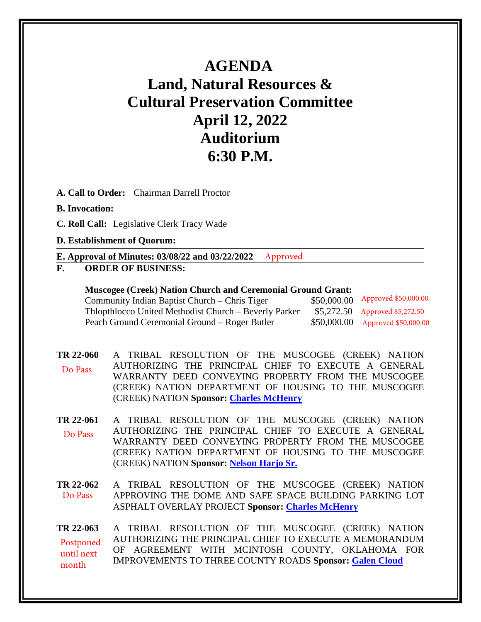## **AGENDA Land, Natural Resources & Cultural Preservation Committee April 12, 2022 Auditorium 6:30 P.M.**

**A. Call to Order:** Chairman Darrell Proctor

## **B. Invocation:**

**C. Roll Call:** Legislative Clerk Tracy Wade

## **D. Establishment of Quorum:**

**E. Approval of Minutes: 03/08/22 and 03/22/2022** Approved

**F. ORDER OF BUSINESS:**

| URDER UF DUSHIESS;                                                 |             |                                  |
|--------------------------------------------------------------------|-------------|----------------------------------|
| <b>Muscogee (Creek) Nation Church and Ceremonial Ground Grant:</b> |             |                                  |
| Community Indian Baptist Church – Chris Tiger                      | \$50,000.00 | Approved \$50,000.00             |
| Thlopthlocco United Methodist Church – Beverly Parker              |             | $$5,272.50$ Approved \$5,272.50  |
| Peach Ground Ceremonial Ground – Roger Butler                      |             | \$50,000.00 Approved \$50,000.00 |

**[TR 22-060](bills/22-060.pdf)** A TRIBAL RESOLUTION OF THE MUSCOGEE (CREEK) NATION AUTHORIZING THE PRINCIPAL CHIEF TO EXECUTE A GENERAL WARRANTY DEED CONVEYING PROPERTY FROM THE MUSCOGEE (CREEK) NATION DEPARTMENT OF HOUSING TO THE MUSCOGEE (CREEK) NATION **Sponsor: [Charles McHenry](mailto:cmchenry@mcn-nsn.gov)** Do Pass

**[TR 22-061](bills/22-061.pdf)** A TRIBAL RESOLUTION OF THE MUSCOGEE (CREEK) NATION AUTHORIZING THE PRINCIPAL CHIEF TO EXECUTE A GENERAL WARRANTY DEED CONVEYING PROPERTY FROM THE MUSCOGEE (CREEK) NATION DEPARTMENT OF HOUSING TO THE MUSCOGEE (CREEK) NATION **Sponsor: [Nelson Harjo Sr.](mailto:nharjosr@mcn-nsn.gov)** Do Pass

**[TR 22-062](bills/22-062.pdf)** A TRIBAL RESOLUTION OF THE MUSCOGEE (CREEK) NATION APPROVING THE DOME AND SAFE SPACE BUILDING PARKING LOT ASPHALT OVERLAY PROJECT **Sponsor: [Charles McHenry](mailto:cmchenry@mcn-nsn.gov)** Do Pass

**[TR 22-063](bills/22-063.pdf)** A TRIBAL RESOLUTION OF THE MUSCOGEE (CREEK) NATION AUTHORIZING THE PRINCIPAL CHIEF TO EXECUTE A MEMORANDUM OF AGREEMENT WITH MCINTOSH COUNTY, OKLAHOMA FOR IMPROVEMENTS TO THREE COUNTY ROADS **Sponsor: [Galen Cloud](mailto:gcloud@mcn-nsn.gov)** Postponed until next month